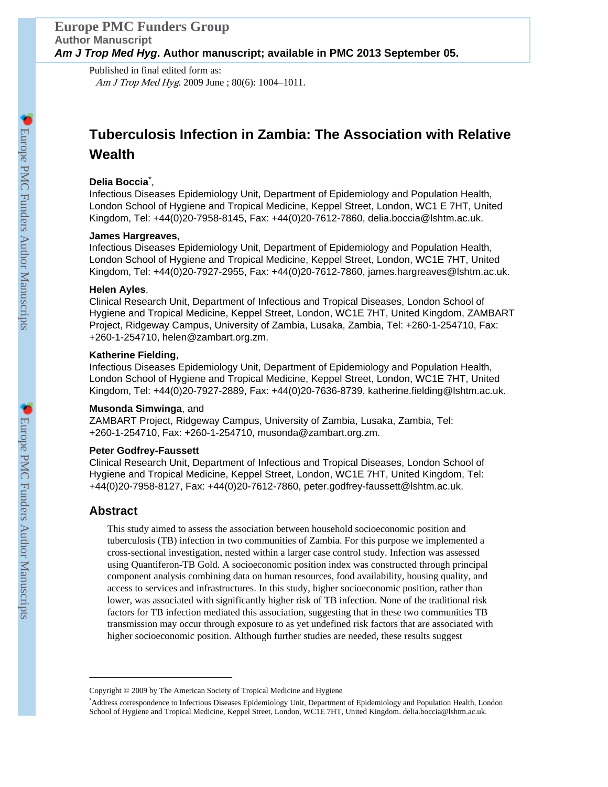Published in final edited form as: Am J Trop Med Hyg. 2009 June ; 80(6): 1004-1011.

# **Tuberculosis Infection in Zambia: The Association with Relative Wealth**

# **Delia Boccia**\* ,

Infectious Diseases Epidemiology Unit, Department of Epidemiology and Population Health, London School of Hygiene and Tropical Medicine, Keppel Street, London, WC1 E 7HT, United Kingdom, Tel: +44(0)20-7958-8145, Fax: +44(0)20-7612-7860, delia.boccia@lshtm.ac.uk.

# **James Hargreaves**,

Infectious Diseases Epidemiology Unit, Department of Epidemiology and Population Health, London School of Hygiene and Tropical Medicine, Keppel Street, London, WC1E 7HT, United Kingdom, Tel: +44(0)20-7927-2955, Fax: +44(0)20-7612-7860, james.hargreaves@lshtm.ac.uk.

# **Helen Ayles**,

Clinical Research Unit, Department of Infectious and Tropical Diseases, London School of Hygiene and Tropical Medicine, Keppel Street, London, WC1E 7HT, United Kingdom, ZAMBART Project, Ridgeway Campus, University of Zambia, Lusaka, Zambia, Tel: +260-1-254710, Fax: +260-1-254710, helen@zambart.org.zm.

# **Katherine Fielding**,

Infectious Diseases Epidemiology Unit, Department of Epidemiology and Population Health, London School of Hygiene and Tropical Medicine, Keppel Street, London, WC1E 7HT, United Kingdom, Tel: +44(0)20-7927-2889, Fax: +44(0)20-7636-8739, katherine.fielding@lshtm.ac.uk.

## **Musonda Simwinga**, and

ZAMBART Project, Ridgeway Campus, University of Zambia, Lusaka, Zambia, Tel: +260-1-254710, Fax: +260-1-254710, musonda@zambart.org.zm.

## **Peter Godfrey-Faussett**

Clinical Research Unit, Department of Infectious and Tropical Diseases, London School of Hygiene and Tropical Medicine, Keppel Street, London, WC1E 7HT, United Kingdom, Tel: +44(0)20-7958-8127, Fax: +44(0)20-7612-7860, peter.godfrey-faussett@lshtm.ac.uk.

# **Abstract**

This study aimed to assess the association between household socioeconomic position and tuberculosis (TB) infection in two communities of Zambia. For this purpose we implemented a cross-sectional investigation, nested within a larger case control study. Infection was assessed using Quantiferon-TB Gold. A socioeconomic position index was constructed through principal component analysis combining data on human resources, food availability, housing quality, and access to services and infrastructures. In this study, higher socioeconomic position, rather than lower, was associated with significantly higher risk of TB infection. None of the traditional risk factors for TB infection mediated this association, suggesting that in these two communities TB transmission may occur through exposure to as yet undefined risk factors that are associated with higher socioeconomic position. Although further studies are needed, these results suggest

Copyright © 2009 by The American Society of Tropical Medicine and Hygiene

<sup>\*</sup>Address correspondence to Infectious Diseases Epidemiology Unit, Department of Epidemiology and Population Health, London School of Hygiene and Tropical Medicine, Keppel Street, London, WC1E 7HT, United Kingdom. delia.boccia@lshtm.ac.uk.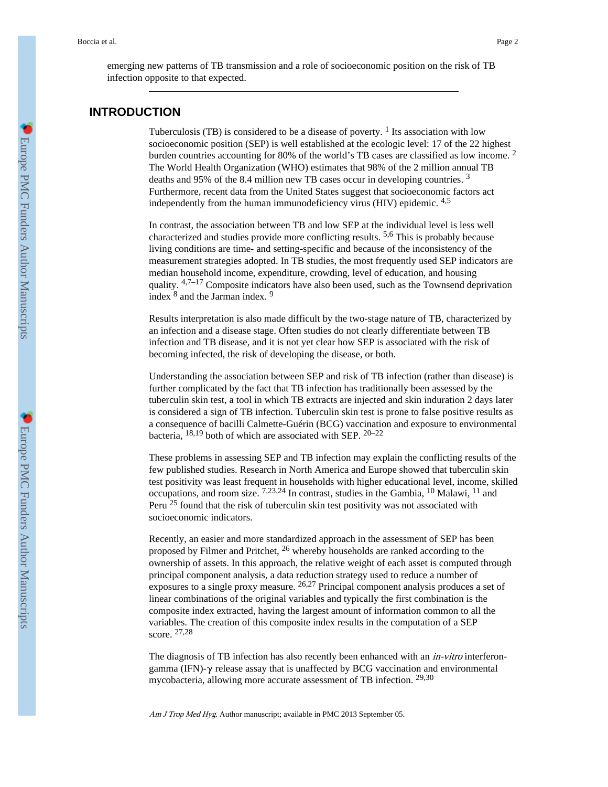emerging new patterns of TB transmission and a role of socioeconomic position on the risk of TB infection opposite to that expected.

# **INTRODUCTION**

Tuberculosis (TB) is considered to be a disease of poverty.  $1$  Its association with low socioeconomic position (SEP) is well established at the ecologic level: 17 of the 22 highest burden countries accounting for 80% of the world's TB cases are classified as low income. <sup>2</sup> The World Health Organization (WHO) estimates that 98% of the 2 million annual TB deaths and 95% of the 8.4 million new TB cases occur in developing countries. <sup>3</sup> Furthermore, recent data from the United States suggest that socioeconomic factors act independently from the human immunodeficiency virus (HIV) epidemic. 4,5

In contrast, the association between TB and low SEP at the individual level is less well characterized and studies provide more conflicting results. 5,6 This is probably because living conditions are time- and setting-specific and because of the inconsistency of the measurement strategies adopted. In TB studies, the most frequently used SEP indicators are median household income, expenditure, crowding, level of education, and housing quality. 4,7–17 Composite indicators have also been used, such as the Townsend deprivation index  $<sup>8</sup>$  and the Jarman index. <sup>9</sup></sup>

Results interpretation is also made difficult by the two-stage nature of TB, characterized by an infection and a disease stage. Often studies do not clearly differentiate between TB infection and TB disease, and it is not yet clear how SEP is associated with the risk of becoming infected, the risk of developing the disease, or both.

Understanding the association between SEP and risk of TB infection (rather than disease) is further complicated by the fact that TB infection has traditionally been assessed by the tuberculin skin test, a tool in which TB extracts are injected and skin induration 2 days later is considered a sign of TB infection. Tuberculin skin test is prone to false positive results as a consequence of bacilli Calmette-Guérin (BCG) vaccination and exposure to environmental bacteria, 18,19 both of which are associated with SEP. 20–22

These problems in assessing SEP and TB infection may explain the conflicting results of the few published studies. Research in North America and Europe showed that tuberculin skin test positivity was least frequent in households with higher educational level, income, skilled occupations, and room size. 7,23,24 In contrast, studies in the Gambia, 10 Malawi, 11 and Peru <sup>25</sup> found that the risk of tuberculin skin test positivity was not associated with socioeconomic indicators.

Recently, an easier and more standardized approach in the assessment of SEP has been proposed by Filmer and Pritchet, 26 whereby households are ranked according to the ownership of assets. In this approach, the relative weight of each asset is computed through principal component analysis, a data reduction strategy used to reduce a number of exposures to a single proxy measure. 26,27 Principal component analysis produces a set of linear combinations of the original variables and typically the first combination is the composite index extracted, having the largest amount of information common to all the variables. The creation of this composite index results in the computation of a SEP score. 27,28

The diagnosis of TB infection has also recently been enhanced with an *in-vitro* interferongamma (IFN)-γ release assay that is unaffected by BCG vaccination and environmental mycobacteria, allowing more accurate assessment of TB infection. 29,30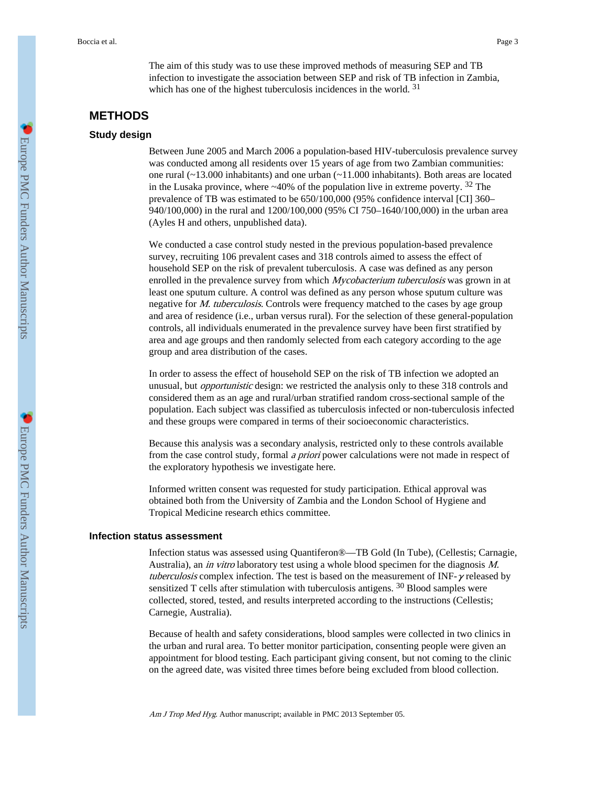The aim of this study was to use these improved methods of measuring SEP and TB infection to investigate the association between SEP and risk of TB infection in Zambia, which has one of the highest tuberculosis incidences in the world. <sup>31</sup>

# **METHODS**

### **Study design**

Between June 2005 and March 2006 a population-based HIV-tuberculosis prevalence survey was conducted among all residents over 15 years of age from two Zambian communities: one rural (~13.000 inhabitants) and one urban (~11.000 inhabitants). Both areas are located in the Lusaka province, where  $\sim$ 40% of the population live in extreme poverty. <sup>32</sup> The prevalence of TB was estimated to be 650/100,000 (95% confidence interval [CI] 360– 940/100,000) in the rural and 1200/100,000 (95% CI 750–1640/100,000) in the urban area (Ayles H and others, unpublished data).

We conducted a case control study nested in the previous population-based prevalence survey, recruiting 106 prevalent cases and 318 controls aimed to assess the effect of household SEP on the risk of prevalent tuberculosis. A case was defined as any person enrolled in the prevalence survey from which *Mycobacterium tuberculosis* was grown in at least one sputum culture. A control was defined as any person whose sputum culture was negative for *M. tuberculosis*. Controls were frequency matched to the cases by age group and area of residence (i.e., urban versus rural). For the selection of these general-population controls, all individuals enumerated in the prevalence survey have been first stratified by area and age groups and then randomly selected from each category according to the age group and area distribution of the cases.

In order to assess the effect of household SEP on the risk of TB infection we adopted an unusual, but opportunistic design: we restricted the analysis only to these 318 controls and considered them as an age and rural/urban stratified random cross-sectional sample of the population. Each subject was classified as tuberculosis infected or non-tuberculosis infected and these groups were compared in terms of their socioeconomic characteristics.

Because this analysis was a secondary analysis, restricted only to these controls available from the case control study, formal a priori power calculations were not made in respect of the exploratory hypothesis we investigate here.

Informed written consent was requested for study participation. Ethical approval was obtained both from the University of Zambia and the London School of Hygiene and Tropical Medicine research ethics committee.

### **Infection status assessment**

Infection status was assessed using Quantiferon®—TB Gold (In Tube), (Cellestis; Carnagie, Australia), an in vitro laboratory test using a whole blood specimen for the diagnosis M. tuberculosis complex infection. The test is based on the measurement of INF- $\gamma$  released by sensitized T cells after stimulation with tuberculosis antigens. 30 Blood samples were collected, stored, tested, and results interpreted according to the instructions (Cellestis; Carnegie, Australia).

Because of health and safety considerations, blood samples were collected in two clinics in the urban and rural area. To better monitor participation, consenting people were given an appointment for blood testing. Each participant giving consent, but not coming to the clinic on the agreed date, was visited three times before being excluded from blood collection.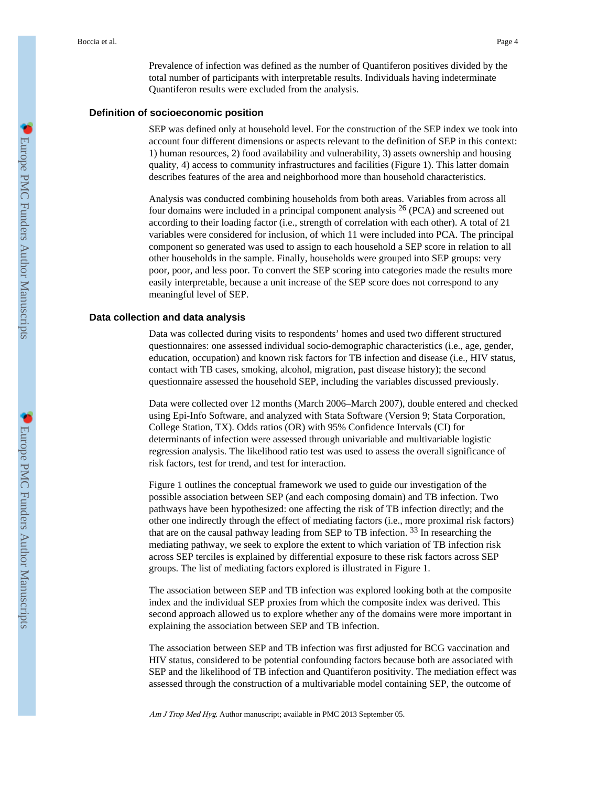Prevalence of infection was defined as the number of Quantiferon positives divided by the total number of participants with interpretable results. Individuals having indeterminate Quantiferon results were excluded from the analysis.

#### **Definition of socioeconomic position**

SEP was defined only at household level. For the construction of the SEP index we took into account four different dimensions or aspects relevant to the definition of SEP in this context: 1) human resources, 2) food availability and vulnerability, 3) assets ownership and housing quality, 4) access to community infrastructures and facilities (Figure 1). This latter domain describes features of the area and neighborhood more than household characteristics.

Analysis was conducted combining households from both areas. Variables from across all four domains were included in a principal component analysis  $^{26}$  (PCA) and screened out according to their loading factor (i.e., strength of correlation with each other). A total of 21 variables were considered for inclusion, of which 11 were included into PCA. The principal component so generated was used to assign to each household a SEP score in relation to all other households in the sample. Finally, households were grouped into SEP groups: very poor, poor, and less poor. To convert the SEP scoring into categories made the results more easily interpretable, because a unit increase of the SEP score does not correspond to any meaningful level of SEP.

### **Data collection and data analysis**

Data was collected during visits to respondents' homes and used two different structured questionnaires: one assessed individual socio-demographic characteristics (i.e., age, gender, education, occupation) and known risk factors for TB infection and disease (i.e., HIV status, contact with TB cases, smoking, alcohol, migration, past disease history); the second questionnaire assessed the household SEP, including the variables discussed previously.

Data were collected over 12 months (March 2006–March 2007), double entered and checked using Epi-Info Software, and analyzed with Stata Software (Version 9; Stata Corporation, College Station, TX). Odds ratios (OR) with 95% Confidence Intervals (CI) for determinants of infection were assessed through univariable and multivariable logistic regression analysis. The likelihood ratio test was used to assess the overall significance of risk factors, test for trend, and test for interaction.

Figure 1 outlines the conceptual framework we used to guide our investigation of the possible association between SEP (and each composing domain) and TB infection. Two pathways have been hypothesized: one affecting the risk of TB infection directly; and the other one indirectly through the effect of mediating factors (i.e., more proximal risk factors) that are on the causal pathway leading from SEP to TB infection. 33 In researching the mediating pathway, we seek to explore the extent to which variation of TB infection risk across SEP terciles is explained by differential exposure to these risk factors across SEP groups. The list of mediating factors explored is illustrated in Figure 1.

The association between SEP and TB infection was explored looking both at the composite index and the individual SEP proxies from which the composite index was derived. This second approach allowed us to explore whether any of the domains were more important in explaining the association between SEP and TB infection.

The association between SEP and TB infection was first adjusted for BCG vaccination and HIV status, considered to be potential confounding factors because both are associated with SEP and the likelihood of TB infection and Quantiferon positivity. The mediation effect was assessed through the construction of a multivariable model containing SEP, the outcome of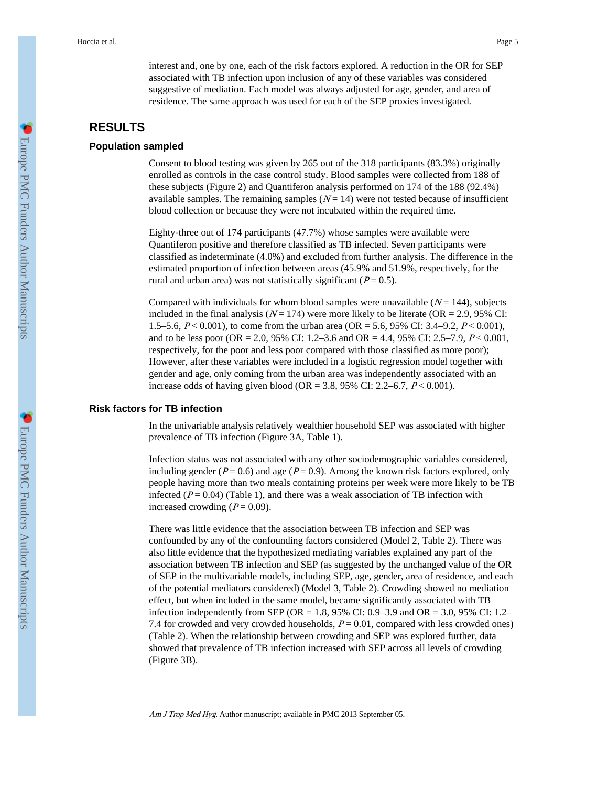interest and, one by one, each of the risk factors explored. A reduction in the OR for SEP associated with TB infection upon inclusion of any of these variables was considered suggestive of mediation. Each model was always adjusted for age, gender, and area of residence. The same approach was used for each of the SEP proxies investigated.

# **RESULTS**

### **Population sampled**

Consent to blood testing was given by 265 out of the 318 participants (83.3%) originally enrolled as controls in the case control study. Blood samples were collected from 188 of these subjects (Figure 2) and Quantiferon analysis performed on 174 of the 188 (92.4%) available samples. The remaining samples  $(N = 14)$  were not tested because of insufficient blood collection or because they were not incubated within the required time.

Eighty-three out of 174 participants (47.7%) whose samples were available were Quantiferon positive and therefore classified as TB infected. Seven participants were classified as indeterminate (4.0%) and excluded from further analysis. The difference in the estimated proportion of infection between areas (45.9% and 51.9%, respectively, for the rural and urban area) was not statistically significant ( $P = 0.5$ ).

Compared with individuals for whom blood samples were unavailable  $(N = 144)$ , subjects included in the final analysis  $(N = 174)$  were more likely to be literate (OR = 2.9, 95% CI: 1.5–5.6,  $P < 0.001$ ), to come from the urban area (OR = 5.6, 95% CI: 3.4–9.2,  $P < 0.001$ ), and to be less poor (OR = 2.0, 95% CI: 1.2–3.6 and OR = 4.4, 95% CI: 2.5–7.9,  $P < 0.001$ , respectively, for the poor and less poor compared with those classified as more poor); However, after these variables were included in a logistic regression model together with gender and age, only coming from the urban area was independently associated with an increase odds of having given blood (OR = 3.8, 95% CI: 2.2–6.7,  $P < 0.001$ ).

## **Risk factors for TB infection**

In the univariable analysis relatively wealthier household SEP was associated with higher prevalence of TB infection (Figure 3A, Table 1).

Infection status was not associated with any other sociodemographic variables considered, including gender ( $P = 0.6$ ) and age ( $P = 0.9$ ). Among the known risk factors explored, only people having more than two meals containing proteins per week were more likely to be TB infected  $(P = 0.04)$  (Table 1), and there was a weak association of TB infection with increased crowding  $(P = 0.09)$ .

There was little evidence that the association between TB infection and SEP was confounded by any of the confounding factors considered (Model 2, Table 2). There was also little evidence that the hypothesized mediating variables explained any part of the association between TB infection and SEP (as suggested by the unchanged value of the OR of SEP in the multivariable models, including SEP, age, gender, area of residence, and each of the potential mediators considered) (Model 3, Table 2). Crowding showed no mediation effect, but when included in the same model, became significantly associated with TB infection independently from SEP (OR = 1.8, 95% CI: 0.9–3.9 and OR = 3.0, 95% CI: 1.2– 7.4 for crowded and very crowded households,  $P = 0.01$ , compared with less crowded ones) (Table 2). When the relationship between crowding and SEP was explored further, data showed that prevalence of TB infection increased with SEP across all levels of crowding (Figure 3B).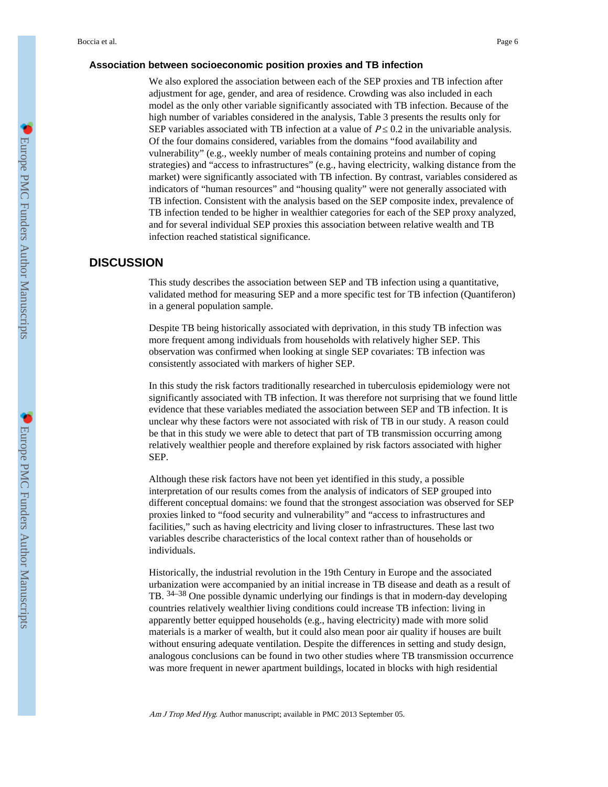### **Association between socioeconomic position proxies and TB infection**

We also explored the association between each of the SEP proxies and TB infection after adjustment for age, gender, and area of residence. Crowding was also included in each model as the only other variable significantly associated with TB infection. Because of the high number of variables considered in the analysis, Table 3 presents the results only for SEP variables associated with TB infection at a value of  $P \quad 0.2$  in the univariable analysis. Of the four domains considered, variables from the domains "food availability and vulnerability" (e.g., weekly number of meals containing proteins and number of coping strategies) and "access to infrastructures" (e.g., having electricity, walking distance from the market) were significantly associated with TB infection. By contrast, variables considered as indicators of "human resources" and "housing quality" were not generally associated with TB infection. Consistent with the analysis based on the SEP composite index, prevalence of TB infection tended to be higher in wealthier categories for each of the SEP proxy analyzed, and for several individual SEP proxies this association between relative wealth and TB infection reached statistical significance.

# **DISCUSSION**

This study describes the association between SEP and TB infection using a quantitative, validated method for measuring SEP and a more specific test for TB infection (Quantiferon) in a general population sample.

Despite TB being historically associated with deprivation, in this study TB infection was more frequent among individuals from households with relatively higher SEP. This observation was confirmed when looking at single SEP covariates: TB infection was consistently associated with markers of higher SEP.

In this study the risk factors traditionally researched in tuberculosis epidemiology were not significantly associated with TB infection. It was therefore not surprising that we found little evidence that these variables mediated the association between SEP and TB infection. It is unclear why these factors were not associated with risk of TB in our study. A reason could be that in this study we were able to detect that part of TB transmission occurring among relatively wealthier people and therefore explained by risk factors associated with higher SEP.

Although these risk factors have not been yet identified in this study, a possible interpretation of our results comes from the analysis of indicators of SEP grouped into different conceptual domains: we found that the strongest association was observed for SEP proxies linked to "food security and vulnerability" and "access to infrastructures and facilities," such as having electricity and living closer to infrastructures. These last two variables describe characteristics of the local context rather than of households or individuals.

Historically, the industrial revolution in the 19th Century in Europe and the associated urbanization were accompanied by an initial increase in TB disease and death as a result of TB. 34–38 One possible dynamic underlying our findings is that in modern-day developing countries relatively wealthier living conditions could increase TB infection: living in apparently better equipped households (e.g., having electricity) made with more solid materials is a marker of wealth, but it could also mean poor air quality if houses are built without ensuring adequate ventilation. Despite the differences in setting and study design, analogous conclusions can be found in two other studies where TB transmission occurrence was more frequent in newer apartment buildings, located in blocks with high residential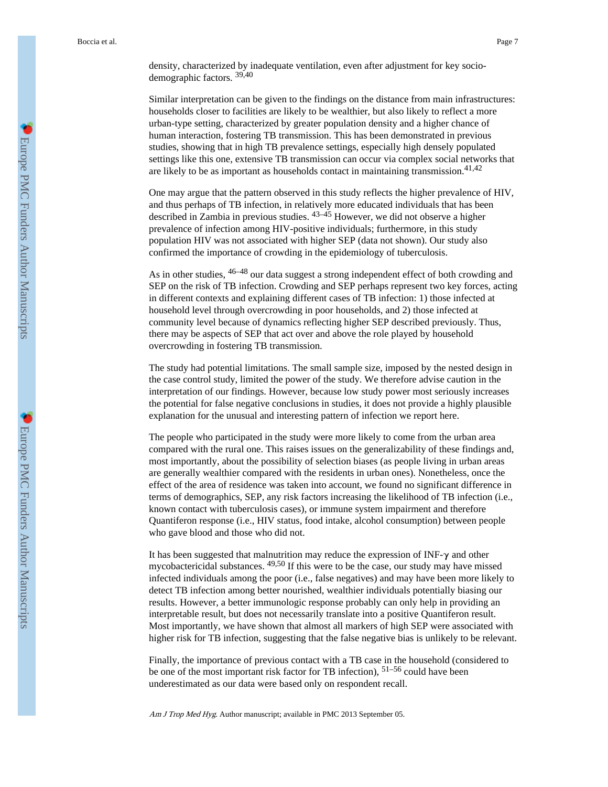density, characterized by inadequate ventilation, even after adjustment for key sociodemographic factors. 39,40

Similar interpretation can be given to the findings on the distance from main infrastructures: households closer to facilities are likely to be wealthier, but also likely to reflect a more urban-type setting, characterized by greater population density and a higher chance of human interaction, fostering TB transmission. This has been demonstrated in previous studies, showing that in high TB prevalence settings, especially high densely populated settings like this one, extensive TB transmission can occur via complex social networks that are likely to be as important as households contact in maintaining transmission.  $41,42$ 

One may argue that the pattern observed in this study reflects the higher prevalence of HIV, and thus perhaps of TB infection, in relatively more educated individuals that has been described in Zambia in previous studies. 43–45 However, we did not observe a higher prevalence of infection among HIV-positive individuals; furthermore, in this study population HIV was not associated with higher SEP (data not shown). Our study also confirmed the importance of crowding in the epidemiology of tuberculosis.

As in other studies,  $46-48$  our data suggest a strong independent effect of both crowding and SEP on the risk of TB infection. Crowding and SEP perhaps represent two key forces, acting in different contexts and explaining different cases of TB infection: 1) those infected at household level through overcrowding in poor households, and 2) those infected at community level because of dynamics reflecting higher SEP described previously. Thus, there may be aspects of SEP that act over and above the role played by household overcrowding in fostering TB transmission.

The study had potential limitations. The small sample size, imposed by the nested design in the case control study, limited the power of the study. We therefore advise caution in the interpretation of our findings. However, because low study power most seriously increases the potential for false negative conclusions in studies, it does not provide a highly plausible explanation for the unusual and interesting pattern of infection we report here.

The people who participated in the study were more likely to come from the urban area compared with the rural one. This raises issues on the generalizability of these findings and, most importantly, about the possibility of selection biases (as people living in urban areas are generally wealthier compared with the residents in urban ones). Nonetheless, once the effect of the area of residence was taken into account, we found no significant difference in terms of demographics, SEP, any risk factors increasing the likelihood of TB infection (i.e., known contact with tuberculosis cases), or immune system impairment and therefore Quantiferon response (i.e., HIV status, food intake, alcohol consumption) between people who gave blood and those who did not.

It has been suggested that malnutrition may reduce the expression of INF-γ and other mycobactericidal substances. 49,50 If this were to be the case, our study may have missed infected individuals among the poor (i.e., false negatives) and may have been more likely to detect TB infection among better nourished, wealthier individuals potentially biasing our results. However, a better immunologic response probably can only help in providing an interpretable result, but does not necessarily translate into a positive Quantiferon result. Most importantly, we have shown that almost all markers of high SEP were associated with higher risk for TB infection, suggesting that the false negative bias is unlikely to be relevant.

Finally, the importance of previous contact with a TB case in the household (considered to be one of the most important risk factor for TB infection), 51–56 could have been underestimated as our data were based only on respondent recall.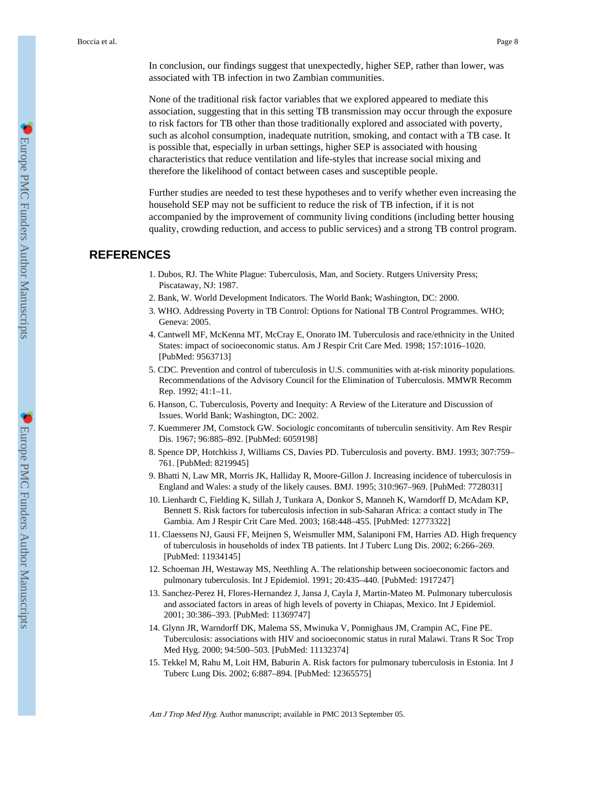In conclusion, our findings suggest that unexpectedly, higher SEP, rather than lower, was associated with TB infection in two Zambian communities.

None of the traditional risk factor variables that we explored appeared to mediate this association, suggesting that in this setting TB transmission may occur through the exposure to risk factors for TB other than those traditionally explored and associated with poverty, such as alcohol consumption, inadequate nutrition, smoking, and contact with a TB case. It is possible that, especially in urban settings, higher SEP is associated with housing characteristics that reduce ventilation and life-styles that increase social mixing and therefore the likelihood of contact between cases and susceptible people.

Further studies are needed to test these hypotheses and to verify whether even increasing the household SEP may not be sufficient to reduce the risk of TB infection, if it is not accompanied by the improvement of community living conditions (including better housing quality, crowding reduction, and access to public services) and a strong TB control program.

# **REFERENCES**

- 1. Dubos, RJ. The White Plague: Tuberculosis, Man, and Society. Rutgers University Press; Piscataway, NJ: 1987.
- 2. Bank, W. World Development Indicators. The World Bank; Washington, DC: 2000.
- 3. WHO. Addressing Poverty in TB Control: Options for National TB Control Programmes. WHO; Geneva: 2005.
- 4. Cantwell MF, McKenna MT, McCray E, Onorato IM. Tuberculosis and race/ethnicity in the United States: impact of socioeconomic status. Am J Respir Crit Care Med. 1998; 157:1016–1020. [PubMed: 9563713]
- 5. CDC. Prevention and control of tuberculosis in U.S. communities with at-risk minority populations. Recommendations of the Advisory Council for the Elimination of Tuberculosis. MMWR Recomm Rep. 1992; 41:1–11.
- 6. Hanson, C. Tuberculosis, Poverty and Inequity: A Review of the Literature and Discussion of Issues. World Bank; Washington, DC: 2002.
- 7. Kuemmerer JM, Comstock GW. Sociologic concomitants of tuberculin sensitivity. Am Rev Respir Dis. 1967; 96:885–892. [PubMed: 6059198]
- 8. Spence DP, Hotchkiss J, Williams CS, Davies PD. Tuberculosis and poverty. BMJ. 1993; 307:759– 761. [PubMed: 8219945]
- 9. Bhatti N, Law MR, Morris JK, Halliday R, Moore-Gillon J. Increasing incidence of tuberculosis in England and Wales: a study of the likely causes. BMJ. 1995; 310:967–969. [PubMed: 7728031]
- 10. Lienhardt C, Fielding K, Sillah J, Tunkara A, Donkor S, Manneh K, Warndorff D, McAdam KP, Bennett S. Risk factors for tuberculosis infection in sub-Saharan Africa: a contact study in The Gambia. Am J Respir Crit Care Med. 2003; 168:448–455. [PubMed: 12773322]
- 11. Claessens NJ, Gausi FF, Meijnen S, Weismuller MM, Salaniponi FM, Harries AD. High frequency of tuberculosis in households of index TB patients. Int J Tuberc Lung Dis. 2002; 6:266–269. [PubMed: 11934145]
- 12. Schoeman JH, Westaway MS, Neethling A. The relationship between socioeconomic factors and pulmonary tuberculosis. Int J Epidemiol. 1991; 20:435–440. [PubMed: 1917247]
- 13. Sanchez-Perez H, Flores-Hernandez J, Jansa J, Cayla J, Martin-Mateo M. Pulmonary tuberculosis and associated factors in areas of high levels of poverty in Chiapas, Mexico. Int J Epidemiol. 2001; 30:386–393. [PubMed: 11369747]
- 14. Glynn JR, Warndorff DK, Malema SS, Mwinuka V, Ponnighaus JM, Crampin AC, Fine PE. Tuberculosis: associations with HIV and socioeconomic status in rural Malawi. Trans R Soc Trop Med Hyg. 2000; 94:500–503. [PubMed: 11132374]
- 15. Tekkel M, Rahu M, Loit HM, Baburin A. Risk factors for pulmonary tuberculosis in Estonia. Int J Tuberc Lung Dis. 2002; 6:887–894. [PubMed: 12365575]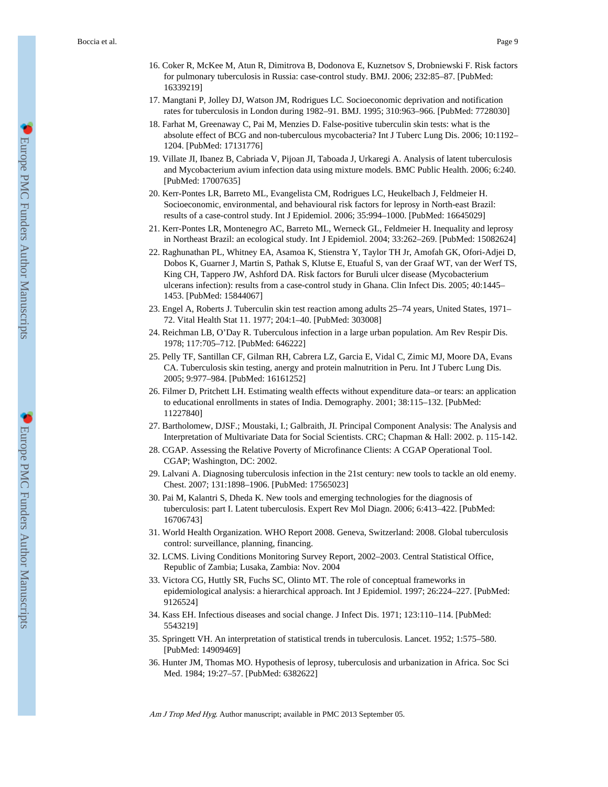- 16. Coker R, McKee M, Atun R, Dimitrova B, Dodonova E, Kuznetsov S, Drobniewski F. Risk factors for pulmonary tuberculosis in Russia: case-control study. BMJ. 2006; 232:85–87. [PubMed: 16339219]
- 17. Mangtani P, Jolley DJ, Watson JM, Rodrigues LC. Socioeconomic deprivation and notification rates for tuberculosis in London during 1982–91. BMJ. 1995; 310:963–966. [PubMed: 7728030]
- 18. Farhat M, Greenaway C, Pai M, Menzies D. False-positive tuberculin skin tests: what is the absolute effect of BCG and non-tuberculous mycobacteria? Int J Tuberc Lung Dis. 2006; 10:1192– 1204. [PubMed: 17131776]
- 19. Villate JI, Ibanez B, Cabriada V, Pijoan JI, Taboada J, Urkaregi A. Analysis of latent tuberculosis and Mycobacterium avium infection data using mixture models. BMC Public Health. 2006; 6:240. [PubMed: 17007635]
- 20. Kerr-Pontes LR, Barreto ML, Evangelista CM, Rodrigues LC, Heukelbach J, Feldmeier H. Socioeconomic, environmental, and behavioural risk factors for leprosy in North-east Brazil: results of a case-control study. Int J Epidemiol. 2006; 35:994–1000. [PubMed: 16645029]
- 21. Kerr-Pontes LR, Montenegro AC, Barreto ML, Werneck GL, Feldmeier H. Inequality and leprosy in Northeast Brazil: an ecological study. Int J Epidemiol. 2004; 33:262–269. [PubMed: 15082624]
- 22. Raghunathan PL, Whitney EA, Asamoa K, Stienstra Y, Taylor TH Jr, Amofah GK, Ofori-Adjei D, Dobos K, Guarner J, Martin S, Pathak S, Klutse E, Etuaful S, van der Graaf WT, van der Werf TS, King CH, Tappero JW, Ashford DA. Risk factors for Buruli ulcer disease (Mycobacterium ulcerans infection): results from a case-control study in Ghana. Clin Infect Dis. 2005; 40:1445– 1453. [PubMed: 15844067]
- 23. Engel A, Roberts J. Tuberculin skin test reaction among adults 25–74 years, United States, 1971– 72. Vital Health Stat 11. 1977; 204:1–40. [PubMed: 303008]
- 24. Reichman LB, O'Day R. Tuberculous infection in a large urban population. Am Rev Respir Dis. 1978; 117:705–712. [PubMed: 646222]
- 25. Pelly TF, Santillan CF, Gilman RH, Cabrera LZ, Garcia E, Vidal C, Zimic MJ, Moore DA, Evans CA. Tuberculosis skin testing, anergy and protein malnutrition in Peru. Int J Tuberc Lung Dis. 2005; 9:977–984. [PubMed: 16161252]
- 26. Filmer D, Pritchett LH. Estimating wealth effects without expenditure data–or tears: an application to educational enrollments in states of India. Demography. 2001; 38:115–132. [PubMed: 11227840]
- 27. Bartholomew, DJSF.; Moustaki, I.; Galbraith, JI. Principal Component Analysis: The Analysis and Interpretation of Multivariate Data for Social Scientists. CRC; Chapman & Hall: 2002. p. 115-142.
- 28. CGAP. Assessing the Relative Poverty of Microfinance Clients: A CGAP Operational Tool. CGAP; Washington, DC: 2002.
- 29. Lalvani A. Diagnosing tuberculosis infection in the 21st century: new tools to tackle an old enemy. Chest. 2007; 131:1898–1906. [PubMed: 17565023]
- 30. Pai M, Kalantri S, Dheda K. New tools and emerging technologies for the diagnosis of tuberculosis: part I. Latent tuberculosis. Expert Rev Mol Diagn. 2006; 6:413–422. [PubMed: 16706743]
- 31. World Health Organization. WHO Report 2008. Geneva, Switzerland: 2008. Global tuberculosis control: surveillance, planning, financing.
- 32. LCMS. Living Conditions Monitoring Survey Report, 2002–2003. Central Statistical Office, Republic of Zambia; Lusaka, Zambia: Nov. 2004
- 33. Victora CG, Huttly SR, Fuchs SC, Olinto MT. The role of conceptual frameworks in epidemiological analysis: a hierarchical approach. Int J Epidemiol. 1997; 26:224–227. [PubMed: 9126524]
- 34. Kass EH. Infectious diseases and social change. J Infect Dis. 1971; 123:110–114. [PubMed: 5543219]
- 35. Springett VH. An interpretation of statistical trends in tuberculosis. Lancet. 1952; 1:575–580. [PubMed: 14909469]
- 36. Hunter JM, Thomas MO. Hypothesis of leprosy, tuberculosis and urbanization in Africa. Soc Sci Med. 1984; 19:27–57. [PubMed: 6382622]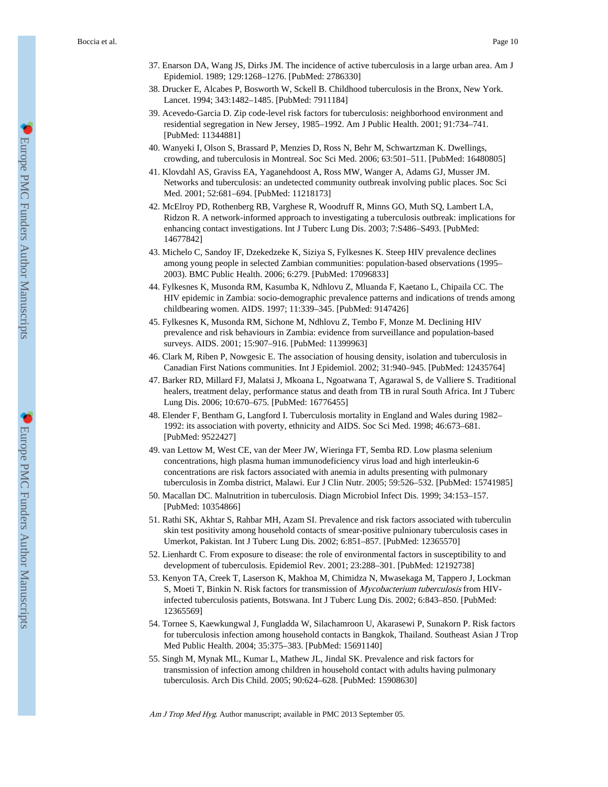- 37. Enarson DA, Wang JS, Dirks JM. The incidence of active tuberculosis in a large urban area. Am J Epidemiol. 1989; 129:1268–1276. [PubMed: 2786330]
- 38. Drucker E, Alcabes P, Bosworth W, Sckell B. Childhood tuberculosis in the Bronx, New York. Lancet. 1994; 343:1482–1485. [PubMed: 7911184]
- 39. Acevedo-Garcia D. Zip code-level risk factors for tuberculosis: neighborhood environment and residential segregation in New Jersey, 1985–1992. Am J Public Health. 2001; 91:734–741. [PubMed: 11344881]
- 40. Wanyeki I, Olson S, Brassard P, Menzies D, Ross N, Behr M, Schwartzman K. Dwellings, crowding, and tuberculosis in Montreal. Soc Sci Med. 2006; 63:501–511. [PubMed: 16480805]
- 41. Klovdahl AS, Graviss EA, Yaganehdoost A, Ross MW, Wanger A, Adams GJ, Musser JM. Networks and tuberculosis: an undetected community outbreak involving public places. Soc Sci Med. 2001; 52:681–694. [PubMed: 11218173]
- 42. McElroy PD, Rothenberg RB, Varghese R, Woodruff R, Minns GO, Muth SQ, Lambert LA, Ridzon R. A network-informed approach to investigating a tuberculosis outbreak: implications for enhancing contact investigations. Int J Tuberc Lung Dis. 2003; 7:S486–S493. [PubMed: 14677842]
- 43. Michelo C, Sandoy IF, Dzekedzeke K, Siziya S, Fylkesnes K. Steep HIV prevalence declines among young people in selected Zambian communities: population-based observations (1995– 2003). BMC Public Health. 2006; 6:279. [PubMed: 17096833]
- 44. Fylkesnes K, Musonda RM, Kasumba K, Ndhlovu Z, Mluanda F, Kaetano L, Chipaila CC. The HIV epidemic in Zambia: socio-demographic prevalence patterns and indications of trends among childbearing women. AIDS. 1997; 11:339–345. [PubMed: 9147426]
- 45. Fylkesnes K, Musonda RM, Sichone M, Ndhlovu Z, Tembo F, Monze M. Declining HIV prevalence and risk behaviours in Zambia: evidence from surveillance and population-based surveys. AIDS. 2001; 15:907–916. [PubMed: 11399963]
- 46. Clark M, Riben P, Nowgesic E. The association of housing density, isolation and tuberculosis in Canadian First Nations communities. Int J Epidemiol. 2002; 31:940–945. [PubMed: 12435764]
- 47. Barker RD, Millard FJ, Malatsi J, Mkoana L, Ngoatwana T, Agarawal S, de Valliere S. Traditional healers, treatment delay, performance status and death from TB in rural South Africa. Int J Tuberc Lung Dis. 2006; 10:670–675. [PubMed: 16776455]
- 48. Elender F, Bentham G, Langford I. Tuberculosis mortality in England and Wales during 1982– 1992: its association with poverty, ethnicity and AIDS. Soc Sci Med. 1998; 46:673–681. [PubMed: 9522427]
- 49. van Lettow M, West CE, van der Meer JW, Wieringa FT, Semba RD. Low plasma selenium concentrations, high plasma human immunodeficiency virus load and high interleukin-6 concentrations are risk factors associated with anemia in adults presenting with pulmonary tuberculosis in Zomba district, Malawi. Eur J Clin Nutr. 2005; 59:526–532. [PubMed: 15741985]
- 50. Macallan DC. Malnutrition in tuberculosis. Diagn Microbiol Infect Dis. 1999; 34:153–157. [PubMed: 10354866]
- 51. Rathi SK, Akhtar S, Rahbar MH, Azam SI. Prevalence and risk factors associated with tuberculin skin test positivity among household contacts of smear-positive pulnionary tuberculosis cases in Umerkot, Pakistan. Int J Tuberc Lung Dis. 2002; 6:851–857. [PubMed: 12365570]
- 52. Lienhardt C. From exposure to disease: the role of environmental factors in susceptibility to and development of tuberculosis. Epidemiol Rev. 2001; 23:288–301. [PubMed: 12192738]
- 53. Kenyon TA, Creek T, Laserson K, Makhoa M, Chimidza N, Mwasekaga M, Tappero J, Lockman S, Moeti T, Binkin N. Risk factors for transmission of Mycobacterium tuberculosis from HIVinfected tuberculosis patients, Botswana. Int J Tuberc Lung Dis. 2002; 6:843–850. [PubMed: 12365569]
- 54. Tornee S, Kaewkungwal J, Fungladda W, Silachamroon U, Akarasewi P, Sunakorn P. Risk factors for tuberculosis infection among household contacts in Bangkok, Thailand. Southeast Asian J Trop Med Public Health. 2004; 35:375–383. [PubMed: 15691140]
- 55. Singh M, Mynak ML, Kumar L, Mathew JL, Jindal SK. Prevalence and risk factors for transmission of infection among children in household contact with adults having pulmonary tuberculosis. Arch Dis Child. 2005; 90:624–628. [PubMed: 15908630]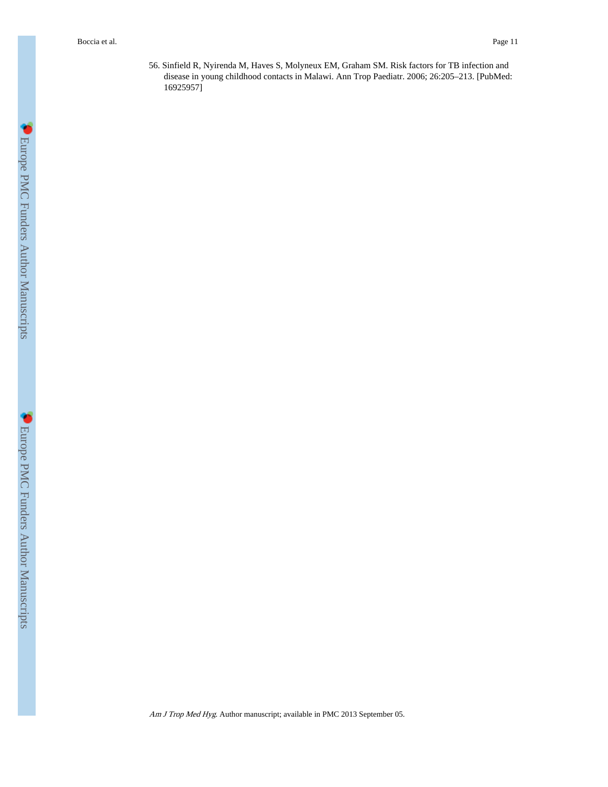56. Sinfield R, Nyirenda M, Haves S, Molyneux EM, Graham SM. Risk factors for TB infection and disease in young childhood contacts in Malawi. Ann Trop Paediatr. 2006; 26:205–213. [PubMed: 16925957]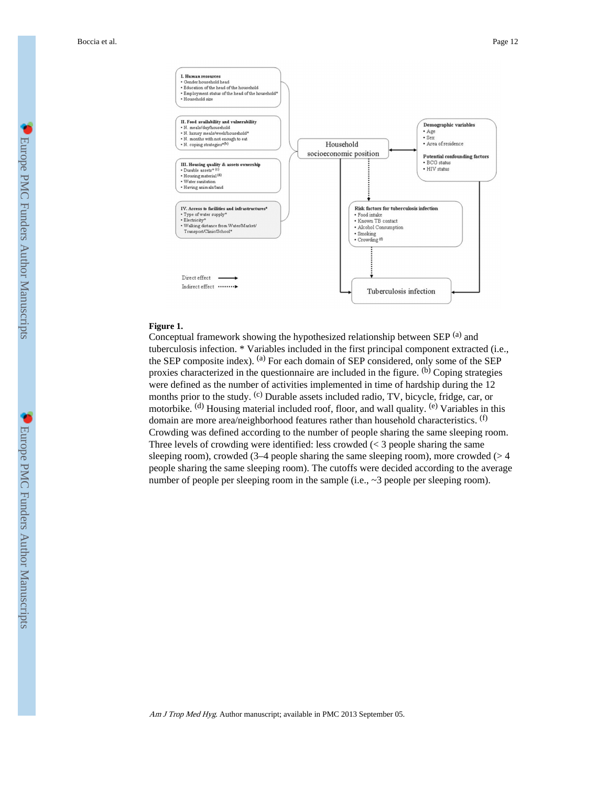

### **Figure 1.**

Conceptual framework showing the hypothesized relationship between SEP <sup>(a)</sup> and tuberculosis infection. \* Variables included in the first principal component extracted (i.e., the SEP composite index). (a) For each domain of SEP considered, only some of the SEP proxies characterized in the questionnaire are included in the figure. (b) Coping strategies were defined as the number of activities implemented in time of hardship during the 12 months prior to the study. <sup>(c)</sup> Durable assets included radio, TV, bicycle, fridge, car, or motorbike. <sup>(d)</sup> Housing material included roof, floor, and wall quality. <sup>(e)</sup> Variables in this domain are more area/neighborhood features rather than household characteristics. (f) Crowding was defined according to the number of people sharing the same sleeping room. Three levels of crowding were identified: less crowded  $\leq$  3 people sharing the same sleeping room), crowded  $(3-4)$  people sharing the same sleeping room), more crowded ( $> 4$ people sharing the same sleeping room). The cutoffs were decided according to the average number of people per sleeping room in the sample (i.e., ~3 people per sleeping room).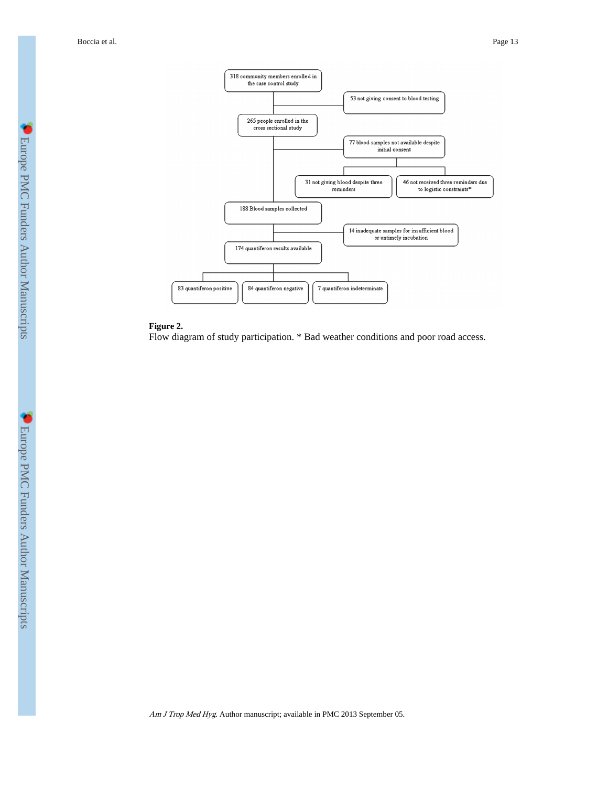

### **Figure 2.**

Flow diagram of study participation. \* Bad weather conditions and poor road access.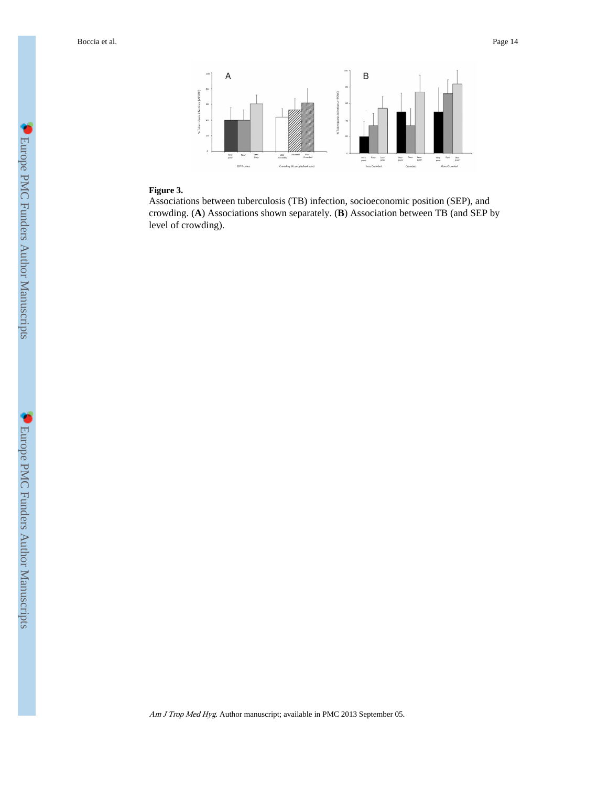

### **Figure 3.**

Associations between tuberculosis (TB) infection, socioeconomic position (SEP), and crowding. (**A**) Associations shown separately. (**B**) Association between TB (and SEP by level of crowding).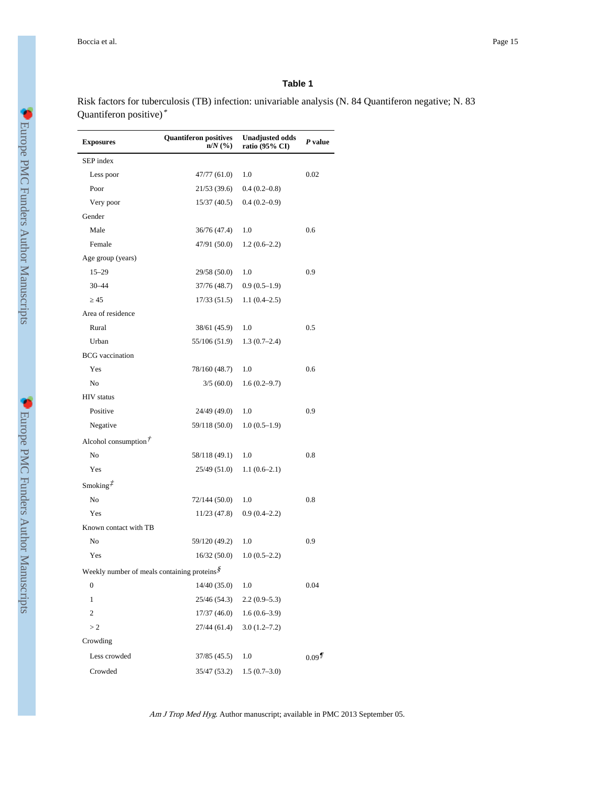### **Table 1**

Risk factors for tuberculosis (TB) infection: univariable analysis (N. 84 Quantiferon negative; N. 83 Quantiferon positive)\*

| <b>Exposures</b>                                               | <b>Quantiferon positives</b><br>$n/N$ $(\%)$ | <b>Unadjusted odds</b><br>ratio (95% CI) | P value  |
|----------------------------------------------------------------|----------------------------------------------|------------------------------------------|----------|
| SEP index                                                      |                                              |                                          |          |
| Less poor                                                      | 47/77 (61.0)                                 | 1.0                                      | 0.02     |
| Poor                                                           | 21/53 (39.6)                                 | $0.4(0.2-0.8)$                           |          |
| Very poor                                                      | 15/37(40.5)                                  | $0.4(0.2-0.9)$                           |          |
| Gender                                                         |                                              |                                          |          |
| Male                                                           | 36/76 (47.4)                                 | 1.0                                      | 0.6      |
| Female                                                         | 47/91 (50.0)                                 | $1.2(0.6-2.2)$                           |          |
| Age group (years)                                              |                                              |                                          |          |
| $15 - 29$                                                      | 29/58 (50.0)                                 | 1.0                                      | 0.9      |
| $30 - 44$                                                      | 37/76 (48.7)                                 | $0.9(0.5-1.9)$                           |          |
| 45                                                             | 17/33 (51.5)                                 | $1.1(0.4-2.5)$                           |          |
| Area of residence                                              |                                              |                                          |          |
| Rural                                                          | 38/61 (45.9)                                 | 1.0                                      | 0.5      |
| Urban                                                          | 55/106 (51.9)                                | $1.3(0.7-2.4)$                           |          |
| <b>BCG</b> vaccination                                         |                                              |                                          |          |
| Yes                                                            | 78/160 (48.7)                                | 1.0                                      | 0.6      |
| No                                                             | 3/5(60.0)                                    | $1.6(0.2 - 9.7)$                         |          |
| <b>HIV</b> status                                              |                                              |                                          |          |
| Positive                                                       | 24/49 (49.0)                                 | 1.0                                      | 0.9      |
| Negative                                                       | 59/118 (50.0)                                | $1.0(0.5-1.9)$                           |          |
| Alcohol consumption $\ddot{\tau}$                              |                                              |                                          |          |
| No                                                             | 58/118 (49.1)                                | 1.0                                      | 0.8      |
| Yes                                                            | 25/49 (51.0)                                 | $1.1(0.6-2.1)$                           |          |
| Smoking $\ddot{z}$                                             |                                              |                                          |          |
| No                                                             | 72/144 (50.0)                                | 1.0                                      | 0.8      |
| Yes                                                            | 11/23 (47.8)                                 | $0.9(0.4-2.2)$                           |          |
| Known contact with TB                                          |                                              |                                          |          |
| No                                                             | 59/120 (49.2)                                | 1.0                                      | 0.9      |
| Yes                                                            | 16/32(50.0)                                  | $1.0(0.5-2.2)$                           |          |
| Weekly number of meals containing proteins $\hat{\mathcal{S}}$ |                                              |                                          |          |
| 0                                                              | 14/40(35.0)                                  | 1.0                                      | 0.04     |
| $\mathbf{1}$                                                   | 25/46 (54.3)                                 | $2.2(0.9-5.3)$                           |          |
| 2                                                              | 17/37(46.0)                                  | $1.6(0.6-3.9)$                           |          |
| >2                                                             | 27/44 (61.4)                                 | $3.0(1.2 - 7.2)$                         |          |
| Crowding                                                       |                                              |                                          |          |
| Less crowded                                                   | 37/85 (45.5)                                 | 1.0                                      | $0.09\%$ |
| Crowded                                                        | 35/47 (53.2)                                 | $1.5(0.7-3.0)$                           |          |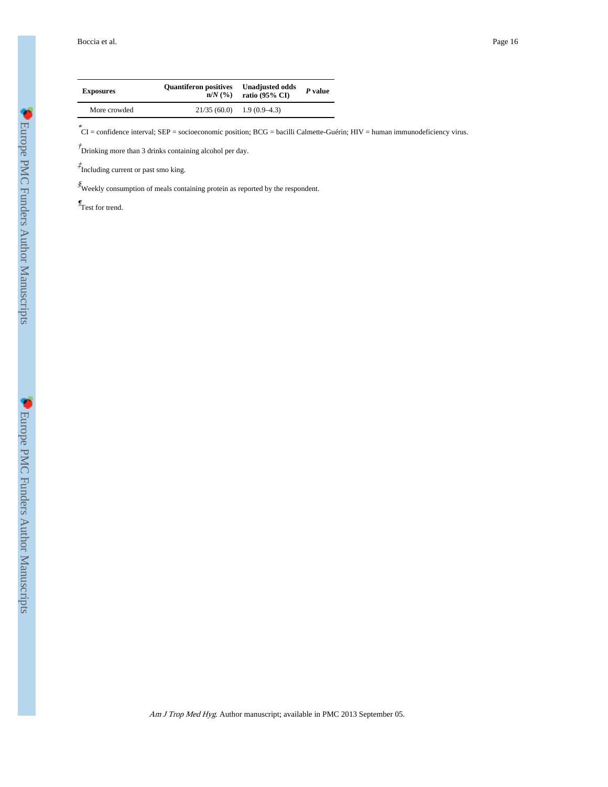Boccia et al. Page 16

| <b>Exposures</b> | <b>Quantiferon positives</b><br>$n/N$ $\left(\frac{9}{6}\right)$ | <b>Unadjusted odds</b><br>ratio $(95\% \text{ CI})$ | $P$ value |
|------------------|------------------------------------------------------------------|-----------------------------------------------------|-----------|
| More crowded     | $21/35(60.0)$ 1.9 (0.9–4.3)                                      |                                                     |           |

\* CI = confidence interval; SEP = socioeconomic position; BCG = bacilli Calmette-Guérin; HIV = human immunodeficiency virus.

 $\phi$ <sup>†</sup> Drinking more than 3 drinks containing alcohol per day.

‡ Including current or past smo king.

 $\mathcal{\hat{S}}$  Weekly consumption of meals containing protein as reported by the respondent.

 $\mathcal{I}_{\text{Test}}$  for trend.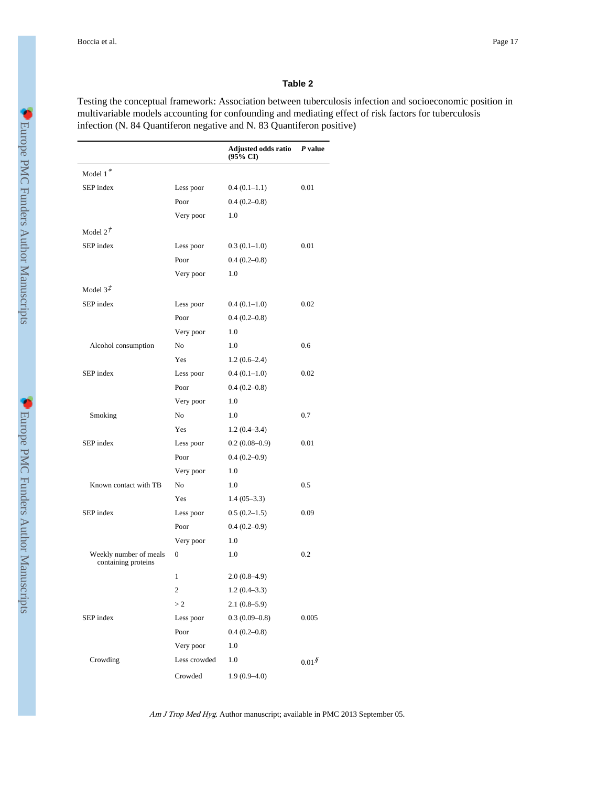#### **Table 2**

Testing the conceptual framework: Association between tuberculosis infection and socioeconomic position in multivariable models accounting for confounding and mediating effect of risk factors for tuberculosis infection (N. 84 Quantiferon negative and N. 83 Quantiferon positive)

|                                               |                | Adjusted odds ratio<br>(95% CI) | $P$ value         |
|-----------------------------------------------|----------------|---------------------------------|-------------------|
| Model 1*                                      |                |                                 |                   |
| SEP index                                     | Less poor      | $0.4(0.1-1.1)$                  | 0.01              |
|                                               | Poor           | $0.4(0.2-0.8)$                  |                   |
|                                               | Very poor      | 1.0                             |                   |
| Model $2^{\dot{\mathcal{T}}}$                 |                |                                 |                   |
| SEP index                                     | Less poor      | $0.3(0.1-1.0)$                  | 0.01              |
|                                               | Poor           | $0.4(0.2-0.8)$                  |                   |
|                                               | Very poor      | 1.0                             |                   |
| Model $3\ddot{t}$                             |                |                                 |                   |
| SEP index                                     | Less poor      | $0.4(0.1-1.0)$                  | 0.02              |
|                                               | Poor           | $0.4(0.2-0.8)$                  |                   |
|                                               | Very poor      | 1.0                             |                   |
| Alcohol consumption                           | N <sub>0</sub> | 1.0                             | 0.6               |
|                                               | Yes            | $1.2(0.6-2.4)$                  |                   |
| SEP index                                     | Less poor      | $0.4(0.1-1.0)$                  | 0.02              |
|                                               | Poor           | $0.4(0.2 - 0.8)$                |                   |
|                                               | Very poor      | 1.0                             |                   |
| Smoking                                       | No             | 1.0                             | 0.7               |
|                                               | Yes            | $1.2(0.4-3.4)$                  |                   |
| SEP index                                     | Less poor      | $0.2(0.08-0.9)$                 | 0.01              |
|                                               | Poor           | $0.4(0.2-0.9)$                  |                   |
|                                               | Very poor      | 1.0                             |                   |
| Known contact with TB                         | No             | 1.0                             | 0.5               |
|                                               | Yes            | $1.4(05-3.3)$                   |                   |
| SEP index                                     | Less poor      | $0.5(0.2-1.5)$                  | 0.09              |
|                                               | Poor           | $0.4(0.2-0.9)$                  |                   |
|                                               | Very poor      | 1.0                             |                   |
| Weekly number of meals<br>containing proteins | $\theta$       | 1.0                             | 0.2               |
|                                               | 1              | $2.0(0.8-4.9)$                  |                   |
|                                               | 2              | $1.2(0.4-3.3)$                  |                   |
|                                               | >2             | $2.1(0.8-5.9)$                  |                   |
| SEP index                                     | Less poor      | $0.3(0.09 - 0.8)$               | 0.005             |
|                                               | Poor           | $0.4(0.2 - 0.8)$                |                   |
|                                               | Very poor      | 1.0                             |                   |
| Crowding                                      | Less crowded   | 1.0                             | 0.01 <sup>g</sup> |
|                                               | Crowded        | $1.9(0.9 - 4.0)$                |                   |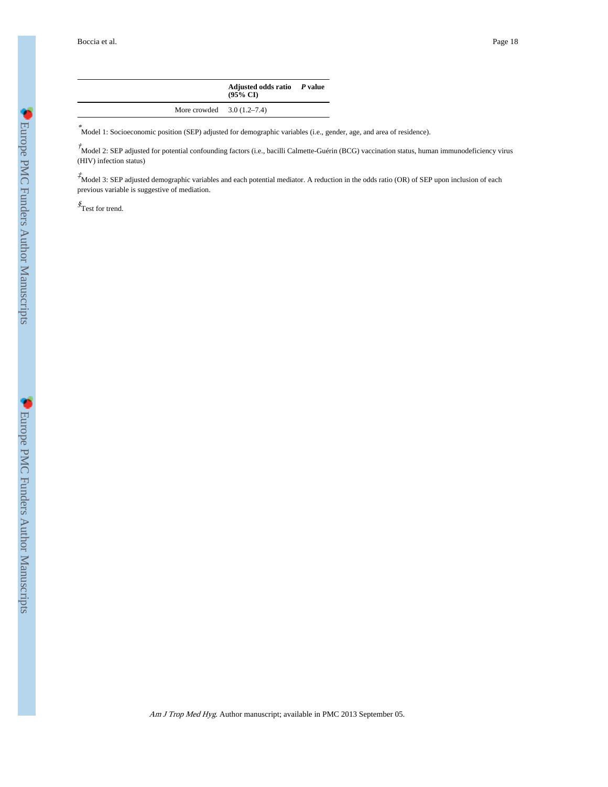$\overline{a}$ 

|                             | Adjusted odds ratio P value<br>$(95\% \text{ CI})$ |  |
|-----------------------------|----------------------------------------------------|--|
| More crowded $3.0(1.2-7.4)$ |                                                    |  |

\* Model 1: Socioeconomic position (SEP) adjusted for demographic variables (i.e., gender, age, and area of residence).

 $\hbar$ Model 2: SEP adjusted for potential confounding factors (i.e., bacilli Calmette-Guérin (BCG) vaccination status, human immunodeficiency virus (HIV) infection status)

 $\vec{\tau}$ Model 3: SEP adjusted demographic variables and each potential mediator. A reduction in the odds ratio (OR) of SEP upon inclusion of each previous variable is suggestive of mediation.

§ Test for trend.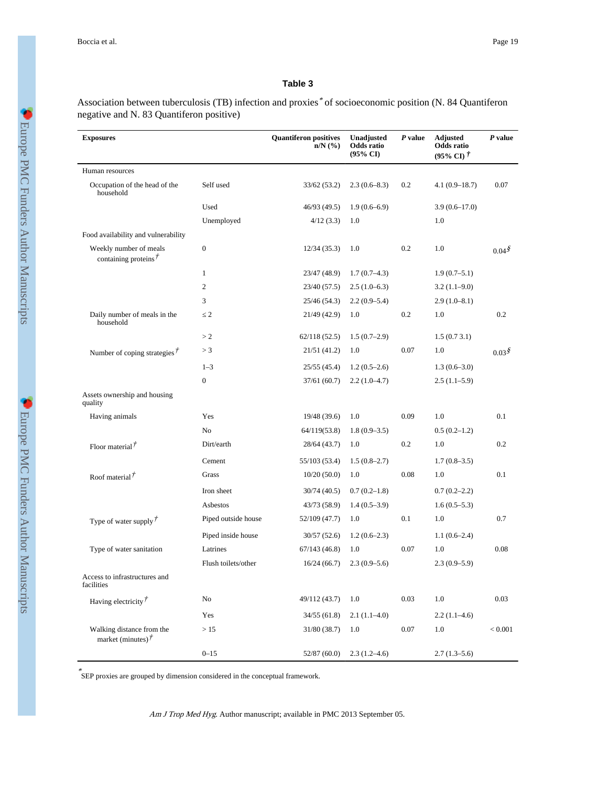### **Table 3**

Association between tuberculosis (TB) infection and proxies \* of socioeconomic position (N. 84 Quantiferon negative and N. 83 Quantiferon positive)

| <b>Exposures</b>                                         |                     | <b>Quantiferon positives</b><br>$n/N$ $(\%)$ | Unadjusted<br>Odds ratio<br>$(95\% \text{ CI})$ | P value | <b>Adjusted</b><br>Odds ratio<br>$(95\% \text{ CI})$ $\dot{\tau}$ | P value       |
|----------------------------------------------------------|---------------------|----------------------------------------------|-------------------------------------------------|---------|-------------------------------------------------------------------|---------------|
| Human resources                                          |                     |                                              |                                                 |         |                                                                   |               |
| Occupation of the head of the<br>household               | Self used           | 33/62 (53.2)                                 | $2.3(0.6-8.3)$                                  | 0.2     | $4.1(0.9-18.7)$                                                   | 0.07          |
|                                                          | Used                | 46/93 (49.5)                                 | $1.9(0.6-6.9)$                                  |         | $3.9(0.6-17.0)$                                                   |               |
|                                                          | Unemployed          | 4/12(3.3)                                    | 1.0                                             |         | 1.0                                                               |               |
| Food availability and vulnerability                      |                     |                                              |                                                 |         |                                                                   |               |
| Weekly number of meals<br>containing proteins $\ddot{ }$ | $\boldsymbol{0}$    | 12/34(35.3)                                  | 1.0                                             | 0.2     | 1.0                                                               | $0.04\dot{S}$ |
|                                                          | $\mathbf{1}$        | 23/47 (48.9)                                 | $1.7(0.7-4.3)$                                  |         | $1.9(0.7-5.1)$                                                    |               |
|                                                          | $\overline{c}$      | 23/40 (57.5)                                 | $2.5(1.0-6.3)$                                  |         | $3.2(1.1-9.0)$                                                    |               |
|                                                          | 3                   | 25/46 (54.3)                                 | $2.2(0.9-5.4)$                                  |         | $2.9(1.0-8.1)$                                                    |               |
| Daily number of meals in the<br>household                | $\overline{2}$      | 21/49 (42.9)                                 | 1.0                                             | 0.2     | 1.0                                                               | 0.2           |
|                                                          | >2                  | 62/118(52.5)                                 | $1.5(0.7-2.9)$                                  |         | 1.5(0.73.1)                                                       |               |
| Number of coping strategies $\ddot{\,}$                  | >3                  | 21/51 (41.2)                                 | 1.0                                             | 0.07    | 1.0                                                               | $0.03\dot{S}$ |
|                                                          | $1 - 3$             | 25/55 (45.4)                                 | $1.2(0.5-2.6)$                                  |         | $1.3(0.6-3.0)$                                                    |               |
|                                                          | $\overline{0}$      | 37/61(60.7)                                  | $2.2(1.0-4.7)$                                  |         | $2.5(1.1-5.9)$                                                    |               |
| Assets ownership and housing<br>quality                  |                     |                                              |                                                 |         |                                                                   |               |
| Having animals                                           | Yes                 | 19/48 (39.6)                                 | 1.0                                             | 0.09    | 1.0                                                               | 0.1           |
|                                                          | No                  | 64/119(53.8)                                 | $1.8(0.9-3.5)$                                  |         | $0.5(0.2-1.2)$                                                    |               |
| Floor material $\vec{r}$                                 | Dirt/earth          | 28/64 (43.7)                                 | 1.0                                             | 0.2     | 1.0                                                               | 0.2           |
|                                                          | Cement              | 55/103 (53.4)                                | $1.5(0.8-2.7)$                                  |         | $1.7(0.8-3.5)$                                                    |               |
| Roof material $\ddot{\tau}$                              | Grass               | 10/20(50.0)                                  | 1.0                                             | 0.08    | 1.0                                                               | 0.1           |
|                                                          | Iron sheet          | 30/74 (40.5)                                 | $0.7(0.2-1.8)$                                  |         | $0.7(0.2 - 2.2)$                                                  |               |
|                                                          | Asbestos            | 43/73 (58.9)                                 | $1.4(0.5-3.9)$                                  |         | $1.6(0.5-5.3)$                                                    |               |
| Type of water supply $\dot{r}$                           | Piped outside house | 52/109 (47.7)                                | 1.0                                             | 0.1     | 1.0                                                               | 0.7           |
|                                                          | Piped inside house  | 30/57(52.6)                                  | $1.2(0.6-2.3)$                                  |         | $1.1(0.6-2.4)$                                                    |               |
| Type of water sanitation                                 | Latrines            | 67/143(46.8)                                 | 1.0                                             | 0.07    | 1.0                                                               | 0.08          |
|                                                          | Flush toilets/other | 16/24(66.7)                                  | $2.3(0.9-5.6)$                                  |         | $2.3(0.9-5.9)$                                                    |               |
| Access to infrastructures and<br>facilities              |                     |                                              |                                                 |         |                                                                   |               |
| Having electricity $\vec{r}$                             | No                  | 49/112 (43.7)                                | 1.0                                             | 0.03    | 1.0                                                               | 0.03          |
|                                                          | Yes                 | 34/55(61.8)                                  | $2.1(1.1-4.0)$                                  |         | $2.2(1.1-4.6)$                                                    |               |
| Walking distance from the<br>market (minutes) $\vec{r}$  | >15                 | 31/80 (38.7)                                 | 1.0                                             | 0.07    | 1.0                                                               | $< 0.001$     |
|                                                          | $0 - 15$            | 52/87(60.0)                                  | $2.3(1.2-4.6)$                                  |         | $2.7(1.3-5.6)$                                                    |               |

\* SEP proxies are grouped by dimension considered in the conceptual framework.